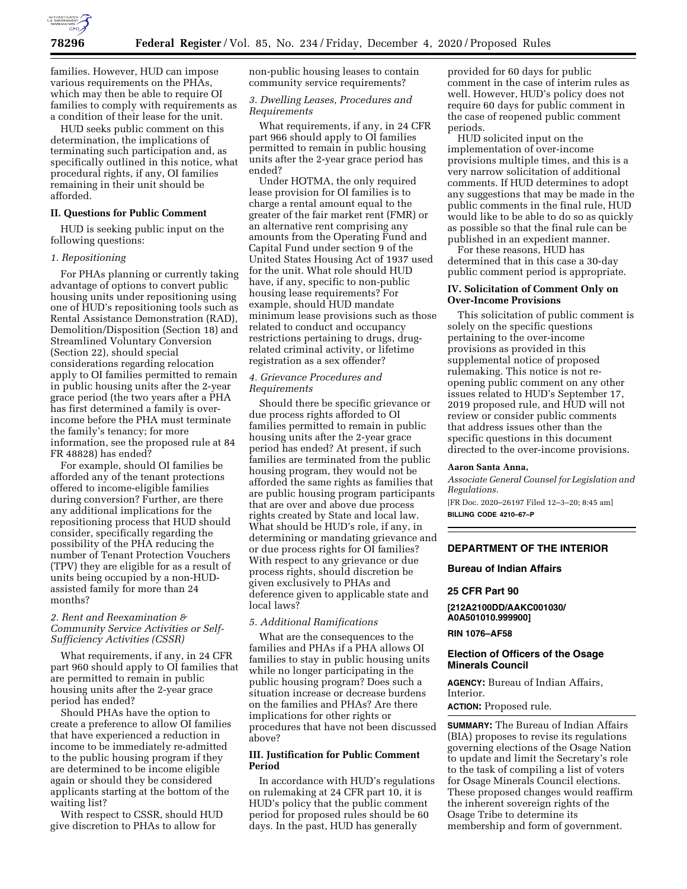

families. However, HUD can impose various requirements on the PHAs, which may then be able to require OI families to comply with requirements as a condition of their lease for the unit.

HUD seeks public comment on this determination, the implications of terminating such participation and, as specifically outlined in this notice, what procedural rights, if any, OI families remaining in their unit should be afforded.

# **II. Questions for Public Comment**

HUD is seeking public input on the following questions:

## *1. Repositioning*

For PHAs planning or currently taking advantage of options to convert public housing units under repositioning using one of HUD's repositioning tools such as Rental Assistance Demonstration (RAD), Demolition/Disposition (Section 18) and Streamlined Voluntary Conversion (Section 22), should special considerations regarding relocation apply to OI families permitted to remain in public housing units after the 2-year grace period (the two years after a PHA has first determined a family is overincome before the PHA must terminate the family's tenancy; for more information, see the proposed rule at 84 FR 48828) has ended?

For example, should OI families be afforded any of the tenant protections offered to income-eligible families during conversion? Further, are there any additional implications for the repositioning process that HUD should consider, specifically regarding the possibility of the PHA reducing the number of Tenant Protection Vouchers (TPV) they are eligible for as a result of units being occupied by a non-HUDassisted family for more than 24 months?

# *2. Rent and Reexamination & Community Service Activities or Self-Sufficiency Activities (CSSR)*

What requirements, if any, in 24 CFR part 960 should apply to OI families that are permitted to remain in public housing units after the 2-year grace period has ended?

Should PHAs have the option to create a preference to allow OI families that have experienced a reduction in income to be immediately re-admitted to the public housing program if they are determined to be income eligible again or should they be considered applicants starting at the bottom of the waiting list?

With respect to CSSR, should HUD give discretion to PHAs to allow for

non-public housing leases to contain community service requirements?

# *3. Dwelling Leases, Procedures and Requirements*

What requirements, if any, in 24 CFR part 966 should apply to OI families permitted to remain in public housing units after the 2-year grace period has ended?

Under HOTMA, the only required lease provision for OI families is to charge a rental amount equal to the greater of the fair market rent (FMR) or an alternative rent comprising any amounts from the Operating Fund and Capital Fund under section 9 of the United States Housing Act of 1937 used for the unit. What role should HUD have, if any, specific to non-public housing lease requirements? For example, should HUD mandate minimum lease provisions such as those related to conduct and occupancy restrictions pertaining to drugs, drugrelated criminal activity, or lifetime registration as a sex offender?

# *4. Grievance Procedures and Requirements*

Should there be specific grievance or due process rights afforded to OI families permitted to remain in public housing units after the 2-year grace period has ended? At present, if such families are terminated from the public housing program, they would not be afforded the same rights as families that are public housing program participants that are over and above due process rights created by State and local law. What should be HUD's role, if any, in determining or mandating grievance and or due process rights for OI families? With respect to any grievance or due process rights, should discretion be given exclusively to PHAs and deference given to applicable state and local laws?

# *5. Additional Ramifications*

What are the consequences to the families and PHAs if a PHA allows OI families to stay in public housing units while no longer participating in the public housing program? Does such a situation increase or decrease burdens on the families and PHAs? Are there implications for other rights or procedures that have not been discussed above?

# **III. Justification for Public Comment Period**

In accordance with HUD's regulations on rulemaking at 24 CFR part 10, it is HUD's policy that the public comment period for proposed rules should be 60 days. In the past, HUD has generally

provided for 60 days for public comment in the case of interim rules as well. However, HUD's policy does not require 60 days for public comment in the case of reopened public comment periods.

HUD solicited input on the implementation of over-income provisions multiple times, and this is a very narrow solicitation of additional comments. If HUD determines to adopt any suggestions that may be made in the public comments in the final rule, HUD would like to be able to do so as quickly as possible so that the final rule can be published in an expedient manner.

For these reasons, HUD has determined that in this case a 30-day public comment period is appropriate.

# **IV. Solicitation of Comment Only on Over-Income Provisions**

This solicitation of public comment is solely on the specific questions pertaining to the over-income provisions as provided in this supplemental notice of proposed rulemaking. This notice is not reopening public comment on any other issues related to HUD's September 17, 2019 proposed rule, and HUD will not review or consider public comments that address issues other than the specific questions in this document directed to the over-income provisions.

#### **Aaron Santa Anna,**

*Associate General Counsel for Legislation and Regulations.* 

[FR Doc. 2020–26197 Filed 12–3–20; 8:45 am] **BILLING CODE 4210–67–P** 

# **DEPARTMENT OF THE INTERIOR**

# **Bureau of Indian Affairs**

**25 CFR Part 90** 

**[212A2100DD/AAKC001030/ A0A501010.999900]** 

**RIN 1076–AF58** 

## **Election of Officers of the Osage Minerals Council**

**AGENCY:** Bureau of Indian Affairs, Interior.

**ACTION:** Proposed rule.

**SUMMARY:** The Bureau of Indian Affairs (BIA) proposes to revise its regulations governing elections of the Osage Nation to update and limit the Secretary's role to the task of compiling a list of voters for Osage Minerals Council elections. These proposed changes would reaffirm the inherent sovereign rights of the Osage Tribe to determine its membership and form of government.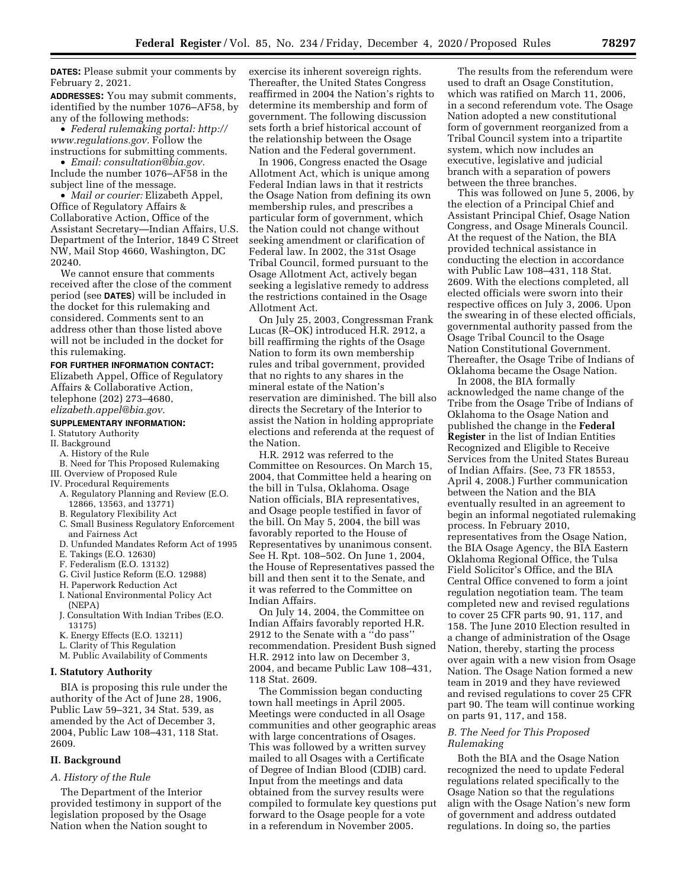**DATES:** Please submit your comments by February 2, 2021.

**ADDRESSES:** You may submit comments, identified by the number 1076–AF58, by any of the following methods:

• *Federal rulemaking portal: [http://](http://www.regulations.gov) [www.regulations.gov.](http://www.regulations.gov)* Follow the instructions for submitting comments.

• *Email: [consultation@bia.gov.](mailto:consultation@bia.gov)*  Include the number 1076–AF58 in the subject line of the message.

• *Mail or courier:* Elizabeth Appel, Office of Regulatory Affairs & Collaborative Action, Office of the Assistant Secretary—Indian Affairs, U.S. Department of the Interior, 1849 C Street NW, Mail Stop 4660, Washington, DC 20240.

We cannot ensure that comments received after the close of the comment period (see **DATES**) will be included in the docket for this rulemaking and considered. Comments sent to an address other than those listed above will not be included in the docket for this rulemaking.

#### **FOR FURTHER INFORMATION CONTACT:**

Elizabeth Appel, Office of Regulatory Affairs & Collaborative Action, telephone (202) 273–4680, *[elizabeth.appel@bia.gov.](mailto:elizabeth.appel@bia.gov)* 

#### **SUPPLEMENTARY INFORMATION:**

## I. Statutory Authority

- II. Background
- A. History of the Rule
- B. Need for This Proposed Rulemaking
- III. Overview of Proposed Rule
- IV. Procedural Requirements
	- A. Regulatory Planning and Review (E.O. 12866, 13563, and 13771)
- B. Regulatory Flexibility Act
- C. Small Business Regulatory Enforcement and Fairness Act
- D. Unfunded Mandates Reform Act of 1995
- E. Takings (E.O. 12630)
- F. Federalism (E.O. 13132)
- G. Civil Justice Reform (E.O. 12988)
- H. Paperwork Reduction Act
- I. National Environmental Policy Act (NEPA)
- J. Consultation With Indian Tribes (E.O. 13175)
- K. Energy Effects (E.O. 13211)
- L. Clarity of This Regulation
- M. Public Availability of Comments

# **I. Statutory Authority**

BIA is proposing this rule under the authority of the Act of June 28, 1906, Public Law 59–321, 34 Stat. 539, as amended by the Act of December 3, 2004, Public Law 108–431, 118 Stat. 2609.

#### **II. Background**

#### *A. History of the Rule*

The Department of the Interior provided testimony in support of the legislation proposed by the Osage Nation when the Nation sought to

exercise its inherent sovereign rights. Thereafter, the United States Congress reaffirmed in 2004 the Nation's rights to determine its membership and form of government. The following discussion sets forth a brief historical account of the relationship between the Osage Nation and the Federal government.

In 1906, Congress enacted the Osage Allotment Act, which is unique among Federal Indian laws in that it restricts the Osage Nation from defining its own membership rules, and prescribes a particular form of government, which the Nation could not change without seeking amendment or clarification of Federal law. In 2002, the 31st Osage Tribal Council, formed pursuant to the Osage Allotment Act, actively began seeking a legislative remedy to address the restrictions contained in the Osage Allotment Act.

On July 25, 2003, Congressman Frank Lucas (R–OK) introduced H.R. 2912, a bill reaffirming the rights of the Osage Nation to form its own membership rules and tribal government, provided that no rights to any shares in the mineral estate of the Nation's reservation are diminished. The bill also directs the Secretary of the Interior to assist the Nation in holding appropriate elections and referenda at the request of the Nation.

H.R. 2912 was referred to the Committee on Resources. On March 15, 2004, that Committee held a hearing on the bill in Tulsa, Oklahoma. Osage Nation officials, BIA representatives, and Osage people testified in favor of the bill. On May 5, 2004, the bill was favorably reported to the House of Representatives by unanimous consent. See H. Rpt. 108–502. On June 1, 2004, the House of Representatives passed the bill and then sent it to the Senate, and it was referred to the Committee on Indian Affairs.

On July 14, 2004, the Committee on Indian Affairs favorably reported H.R. 2912 to the Senate with a ''do pass'' recommendation. President Bush signed H.R. 2912 into law on December 3, 2004, and became Public Law 108–431, 118 Stat. 2609.

The Commission began conducting town hall meetings in April 2005. Meetings were conducted in all Osage communities and other geographic areas with large concentrations of Osages. This was followed by a written survey mailed to all Osages with a Certificate of Degree of Indian Blood (CDIB) card. Input from the meetings and data obtained from the survey results were compiled to formulate key questions put forward to the Osage people for a vote in a referendum in November 2005.

The results from the referendum were used to draft an Osage Constitution, which was ratified on March 11, 2006, in a second referendum vote. The Osage Nation adopted a new constitutional form of government reorganized from a Tribal Council system into a tripartite system, which now includes an executive, legislative and judicial branch with a separation of powers between the three branches.

This was followed on June 5, 2006, by the election of a Principal Chief and Assistant Principal Chief, Osage Nation Congress, and Osage Minerals Council. At the request of the Nation, the BIA provided technical assistance in conducting the election in accordance with Public Law 108–431, 118 Stat. 2609. With the elections completed, all elected officials were sworn into their respective offices on July 3, 2006. Upon the swearing in of these elected officials, governmental authority passed from the Osage Tribal Council to the Osage Nation Constitutional Government. Thereafter, the Osage Tribe of Indians of Oklahoma became the Osage Nation.

In 2008, the BIA formally acknowledged the name change of the Tribe from the Osage Tribe of Indians of Oklahoma to the Osage Nation and published the change in the **Federal Register** in the list of Indian Entities Recognized and Eligible to Receive Services from the United States Bureau of Indian Affairs. (See, 73 FR 18553, April 4, 2008.) Further communication between the Nation and the BIA eventually resulted in an agreement to begin an informal negotiated rulemaking process. In February 2010, representatives from the Osage Nation, the BIA Osage Agency, the BIA Eastern Oklahoma Regional Office, the Tulsa Field Solicitor's Office, and the BIA Central Office convened to form a joint regulation negotiation team. The team completed new and revised regulations to cover 25 CFR parts 90, 91, 117, and 158. The June 2010 Election resulted in a change of administration of the Osage Nation, thereby, starting the process over again with a new vision from Osage Nation. The Osage Nation formed a new team in 2019 and they have reviewed and revised regulations to cover 25 CFR part 90. The team will continue working on parts 91, 117, and 158.

# *B. The Need for This Proposed Rulemaking*

Both the BIA and the Osage Nation recognized the need to update Federal regulations related specifically to the Osage Nation so that the regulations align with the Osage Nation's new form of government and address outdated regulations. In doing so, the parties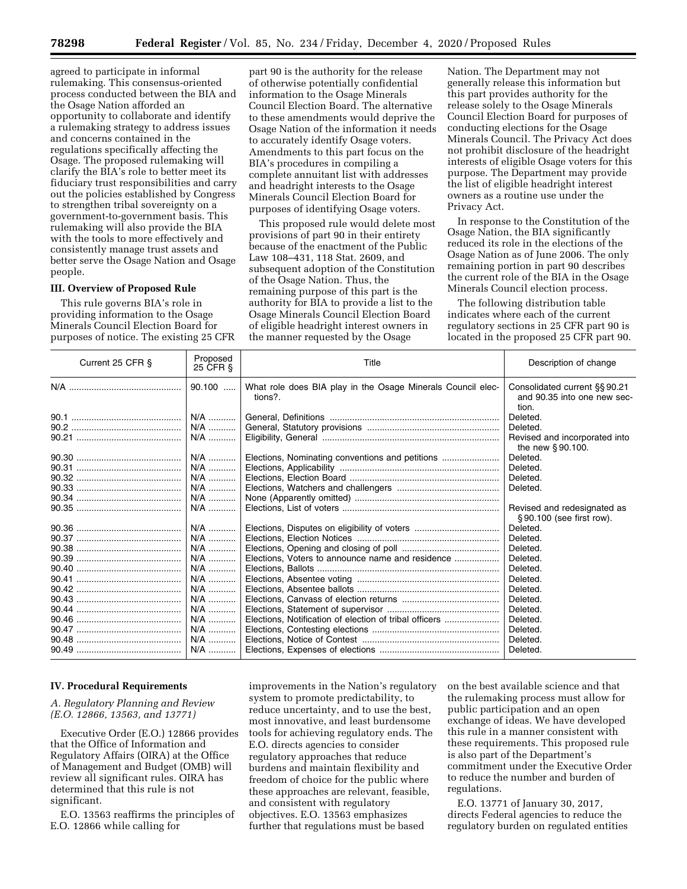agreed to participate in informal rulemaking. This consensus-oriented process conducted between the BIA and the Osage Nation afforded an opportunity to collaborate and identify a rulemaking strategy to address issues and concerns contained in the regulations specifically affecting the Osage. The proposed rulemaking will clarify the BIA's role to better meet its fiduciary trust responsibilities and carry out the policies established by Congress to strengthen tribal sovereignty on a government-to-government basis. This rulemaking will also provide the BIA with the tools to more effectively and consistently manage trust assets and better serve the Osage Nation and Osage people.

## **III. Overview of Proposed Rule**

This rule governs BIA's role in providing information to the Osage Minerals Council Election Board for purposes of notice. The existing 25 CFR

part 90 is the authority for the release of otherwise potentially confidential information to the Osage Minerals Council Election Board. The alternative to these amendments would deprive the Osage Nation of the information it needs to accurately identify Osage voters. Amendments to this part focus on the BIA's procedures in compiling a complete annuitant list with addresses and headright interests to the Osage Minerals Council Election Board for purposes of identifying Osage voters.

This proposed rule would delete most provisions of part 90 in their entirety because of the enactment of the Public Law 108–431, 118 Stat. 2609, and subsequent adoption of the Constitution of the Osage Nation. Thus, the remaining purpose of this part is the authority for BIA to provide a list to the Osage Minerals Council Election Board of eligible headright interest owners in the manner requested by the Osage

Nation. The Department may not generally release this information but this part provides authority for the release solely to the Osage Minerals Council Election Board for purposes of conducting elections for the Osage Minerals Council. The Privacy Act does not prohibit disclosure of the headright interests of eligible Osage voters for this purpose. The Department may provide the list of eligible headright interest owners as a routine use under the Privacy Act.

In response to the Constitution of the Osage Nation, the BIA significantly reduced its role in the elections of the Osage Nation as of June 2006. The only remaining portion in part 90 describes the current role of the BIA in the Osage Minerals Council election process.

The following distribution table indicates where each of the current regulatory sections in 25 CFR part 90 is located in the proposed 25 CFR part 90.

| Current 25 CFR § | Proposed<br>25 CFR § | Title                                                                  | Description of change                                                 |
|------------------|----------------------|------------------------------------------------------------------------|-----------------------------------------------------------------------|
|                  | $90.100$             | What role does BIA play in the Osage Minerals Council elec-<br>tions?. | Consolidated current §§ 90.21<br>and 90.35 into one new sec-<br>tion. |
|                  | N/A                  |                                                                        | Deleted.                                                              |
|                  | N/A                  |                                                                        | Deleted.                                                              |
|                  | N/A                  |                                                                        | Revised and incorporated into                                         |
|                  |                      |                                                                        | the new $§ 90.100$ .                                                  |
|                  | N/A                  | Elections, Nominating conventions and petitions                        | Deleted.                                                              |
|                  | N/A                  |                                                                        | Deleted.                                                              |
|                  | N/A                  |                                                                        | Deleted.                                                              |
|                  | N/A                  |                                                                        | Deleted.                                                              |
|                  | N/A                  |                                                                        |                                                                       |
|                  | N/A                  |                                                                        | Revised and redesignated as                                           |
|                  |                      |                                                                        | §90.100 (see first row).                                              |
|                  | N/A                  |                                                                        | Deleted.                                                              |
|                  | N/A                  |                                                                        | Deleted.                                                              |
|                  | N/A                  |                                                                        | Deleted.                                                              |
|                  | N/A                  | Elections, Voters to announce name and residence                       | Deleted.                                                              |
|                  | N/A                  |                                                                        | Deleted.                                                              |
|                  | N/A                  |                                                                        | Deleted.                                                              |
|                  | N/A                  |                                                                        | Deleted.                                                              |
|                  | N/A                  |                                                                        | Deleted.                                                              |
|                  | N/A                  |                                                                        | Deleted.                                                              |
|                  | N/A                  | Elections, Notification of election of tribal officers                 | Deleted.                                                              |
|                  | N/A                  |                                                                        | Deleted.                                                              |
|                  | N/A                  |                                                                        | Deleted.                                                              |
|                  |                      |                                                                        | Deleted.                                                              |

## **IV. Procedural Requirements**

# *A. Regulatory Planning and Review (E.O. 12866, 13563, and 13771)*

Executive Order (E.O.) 12866 provides that the Office of Information and Regulatory Affairs (OIRA) at the Office of Management and Budget (OMB) will review all significant rules. OIRA has determined that this rule is not significant.

E.O. 13563 reaffirms the principles of E.O. 12866 while calling for

improvements in the Nation's regulatory system to promote predictability, to reduce uncertainty, and to use the best, most innovative, and least burdensome tools for achieving regulatory ends. The E.O. directs agencies to consider regulatory approaches that reduce burdens and maintain flexibility and freedom of choice for the public where these approaches are relevant, feasible, and consistent with regulatory objectives. E.O. 13563 emphasizes further that regulations must be based

on the best available science and that the rulemaking process must allow for public participation and an open exchange of ideas. We have developed this rule in a manner consistent with these requirements. This proposed rule is also part of the Department's commitment under the Executive Order to reduce the number and burden of regulations.

E.O. 13771 of January 30, 2017, directs Federal agencies to reduce the regulatory burden on regulated entities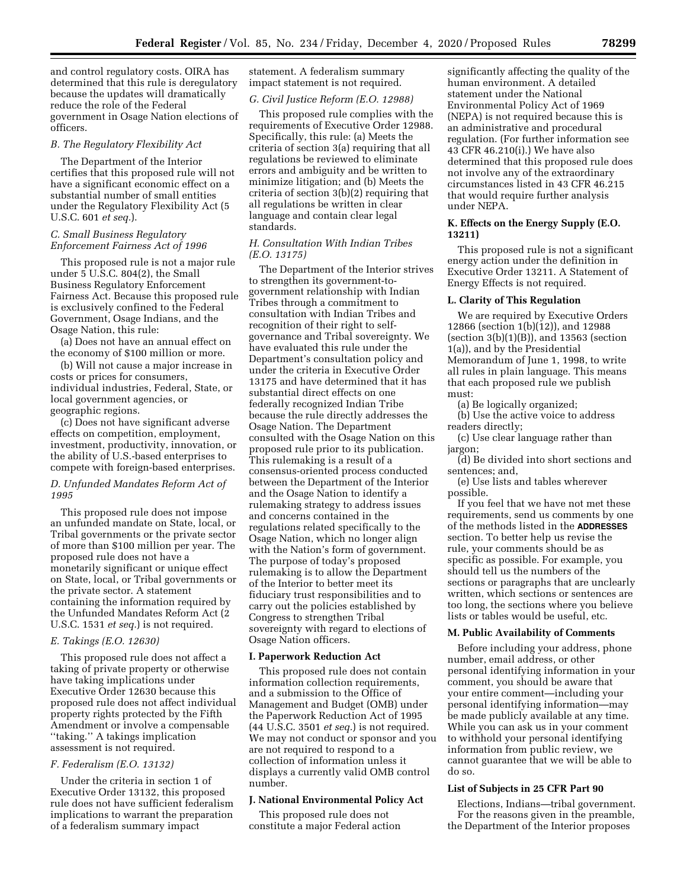and control regulatory costs. OIRA has determined that this rule is deregulatory because the updates will dramatically reduce the role of the Federal government in Osage Nation elections of officers.

#### *B. The Regulatory Flexibility Act*

The Department of the Interior certifies that this proposed rule will not have a significant economic effect on a substantial number of small entities under the Regulatory Flexibility Act (5 U.S.C. 601 *et seq.*).

# *C. Small Business Regulatory Enforcement Fairness Act of 1996*

This proposed rule is not a major rule under 5 U.S.C. 804(2), the Small Business Regulatory Enforcement Fairness Act. Because this proposed rule is exclusively confined to the Federal Government, Osage Indians, and the Osage Nation, this rule:

(a) Does not have an annual effect on the economy of \$100 million or more.

(b) Will not cause a major increase in costs or prices for consumers, individual industries, Federal, State, or local government agencies, or geographic regions.

(c) Does not have significant adverse effects on competition, employment, investment, productivity, innovation, or the ability of U.S.-based enterprises to compete with foreign-based enterprises.

# *D. Unfunded Mandates Reform Act of 1995*

This proposed rule does not impose an unfunded mandate on State, local, or Tribal governments or the private sector of more than \$100 million per year. The proposed rule does not have a monetarily significant or unique effect on State, local, or Tribal governments or the private sector. A statement containing the information required by the Unfunded Mandates Reform Act (2 U.S.C. 1531 *et seq.*) is not required.

# *E. Takings (E.O. 12630)*

This proposed rule does not affect a taking of private property or otherwise have taking implications under Executive Order 12630 because this proposed rule does not affect individual property rights protected by the Fifth Amendment or involve a compensable ''taking.'' A takings implication assessment is not required.

# *F. Federalism (E.O. 13132)*

Under the criteria in section 1 of Executive Order 13132, this proposed rule does not have sufficient federalism implications to warrant the preparation of a federalism summary impact

statement. A federalism summary impact statement is not required.

#### *G. Civil Justice Reform (E.O. 12988)*

This proposed rule complies with the requirements of Executive Order 12988. Specifically, this rule: (a) Meets the criteria of section 3(a) requiring that all regulations be reviewed to eliminate errors and ambiguity and be written to minimize litigation; and (b) Meets the criteria of section 3(b)(2) requiring that all regulations be written in clear language and contain clear legal standards.

# *H. Consultation With Indian Tribes (E.O. 13175)*

The Department of the Interior strives to strengthen its government-togovernment relationship with Indian Tribes through a commitment to consultation with Indian Tribes and recognition of their right to selfgovernance and Tribal sovereignty. We have evaluated this rule under the Department's consultation policy and under the criteria in Executive Order 13175 and have determined that it has substantial direct effects on one federally recognized Indian Tribe because the rule directly addresses the Osage Nation. The Department consulted with the Osage Nation on this proposed rule prior to its publication. This rulemaking is a result of a consensus-oriented process conducted between the Department of the Interior and the Osage Nation to identify a rulemaking strategy to address issues and concerns contained in the regulations related specifically to the Osage Nation, which no longer align with the Nation's form of government. The purpose of today's proposed rulemaking is to allow the Department of the Interior to better meet its fiduciary trust responsibilities and to carry out the policies established by Congress to strengthen Tribal sovereignty with regard to elections of Osage Nation officers.

#### **I. Paperwork Reduction Act**

This proposed rule does not contain information collection requirements, and a submission to the Office of Management and Budget (OMB) under the Paperwork Reduction Act of 1995 (44 U.S.C. 3501 *et seq.*) is not required. We may not conduct or sponsor and you are not required to respond to a collection of information unless it displays a currently valid OMB control number.

# **J. National Environmental Policy Act**

This proposed rule does not constitute a major Federal action

significantly affecting the quality of the human environment. A detailed statement under the National Environmental Policy Act of 1969 (NEPA) is not required because this is an administrative and procedural regulation. (For further information see 43 CFR 46.210(i).) We have also determined that this proposed rule does not involve any of the extraordinary circumstances listed in 43 CFR 46.215 that would require further analysis under NEPA.

# **K. Effects on the Energy Supply (E.O. 13211)**

This proposed rule is not a significant energy action under the definition in Executive Order 13211. A Statement of Energy Effects is not required.

## **L. Clarity of This Regulation**

We are required by Executive Orders 12866 (section 1(b) $(12)$ ), and 12988 (section  $3(b)(1)(B)$ ), and 13563 (section 1(a)), and by the Presidential Memorandum of June 1, 1998, to write all rules in plain language. This means that each proposed rule we publish must:

(a) Be logically organized;

(b) Use the active voice to address readers directly;

(c) Use clear language rather than jargon;

(d) Be divided into short sections and sentences; and,

(e) Use lists and tables wherever possible.

If you feel that we have not met these requirements, send us comments by one of the methods listed in the **ADDRESSES** section. To better help us revise the rule, your comments should be as specific as possible. For example, you should tell us the numbers of the sections or paragraphs that are unclearly written, which sections or sentences are too long, the sections where you believe lists or tables would be useful, etc.

#### **M. Public Availability of Comments**

Before including your address, phone number, email address, or other personal identifying information in your comment, you should be aware that your entire comment—including your personal identifying information—may be made publicly available at any time. While you can ask us in your comment to withhold your personal identifying information from public review, we cannot guarantee that we will be able to do so.

## **List of Subjects in 25 CFR Part 90**

Elections, Indians—tribal government. For the reasons given in the preamble, the Department of the Interior proposes